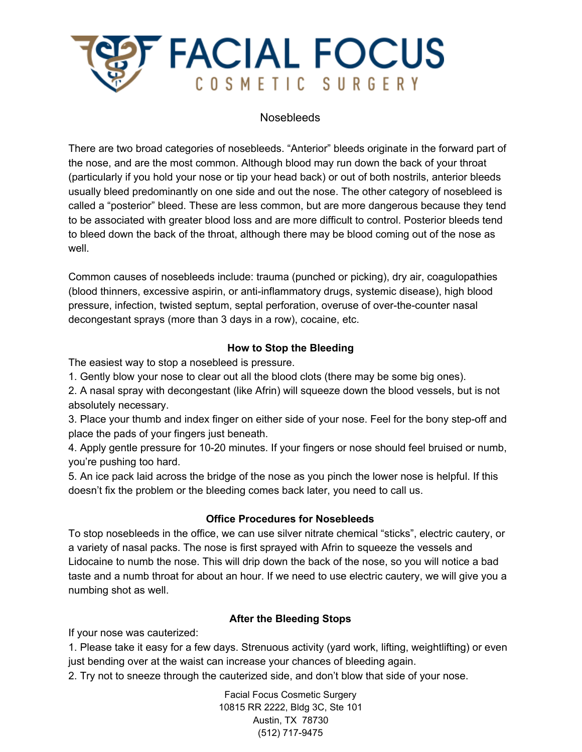

## Nosebleeds

There are two broad categories of nosebleeds. "Anterior" bleeds originate in the forward part of the nose, and are the most common. Although blood may run down the back of your throat (particularly if you hold your nose or tip your head back) or out of both nostrils, anterior bleeds usually bleed predominantly on one side and out the nose. The other category of nosebleed is called a "posterior" bleed. These are less common, but are more dangerous because they tend to be associated with greater blood loss and are more difficult to control. Posterior bleeds tend to bleed down the back of the throat, although there may be blood coming out of the nose as well.

Common causes of nosebleeds include: trauma (punched or picking), dry air, coagulopathies (blood thinners, excessive aspirin, or anti-inflammatory drugs, systemic disease), high blood pressure, infection, twisted septum, septal perforation, overuse of over-the-counter nasal decongestant sprays (more than 3 days in a row), cocaine, etc.

## **How to Stop the Bleeding**

The easiest way to stop a nosebleed is pressure.

1. Gently blow your nose to clear out all the blood clots (there may be some big ones).

2. A nasal spray with decongestant (like Afrin) will squeeze down the blood vessels, but is not absolutely necessary.

3. Place your thumb and index finger on either side of your nose. Feel for the bony step-off and place the pads of your fingers just beneath.

4. Apply gentle pressure for 10-20 minutes. If your fingers or nose should feel bruised or numb, you're pushing too hard.

5. An ice pack laid across the bridge of the nose as you pinch the lower nose is helpful. If this doesn't fix the problem or the bleeding comes back later, you need to call us.

## **Office Procedures for Nosebleeds**

To stop nosebleeds in the office, we can use silver nitrate chemical "sticks", electric cautery, or a variety of nasal packs. The nose is first sprayed with Afrin to squeeze the vessels and Lidocaine to numb the nose. This will drip down the back of the nose, so you will notice a bad taste and a numb throat for about an hour. If we need to use electric cautery, we will give you a numbing shot as well.

## **After the Bleeding Stops**

If your nose was cauterized:

1. Please take it easy for a few days. Strenuous activity (yard work, lifting, weightlifting) or even just bending over at the waist can increase your chances of bleeding again.

2. Try not to sneeze through the cauterized side, and don't blow that side of your nose.

Facial Focus Cosmetic Surgery 10815 RR 2222, Bldg 3C, Ste 101 Austin, TX 78730 (512) 717-9475